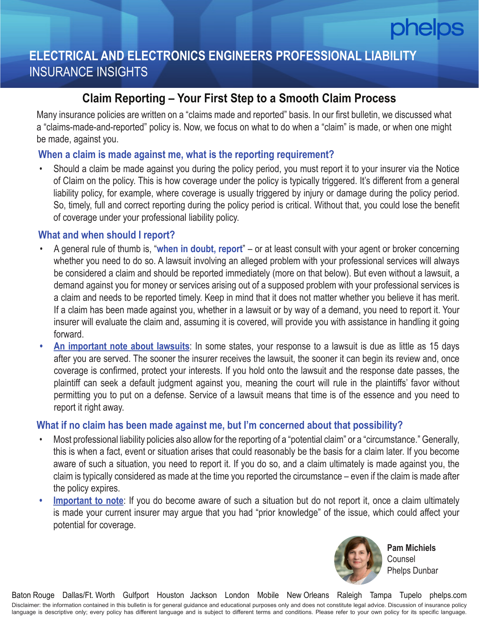# **ELECTRICAL AND ELECTRONICS ENGINEERS PROFESSIONAL LIABILITY**  INSURANCE INSIGHTS

## **Claim Reporting – Your First Step to a Smooth Claim Process**

Many insurance policies are written on a "claims made and reported" basis. In our first bulletin, we discussed what a "claims-made-and-reported" policy is. Now, we focus on what to do when a "claim" is made, or when one might be made, against you.

## **When a claim is made against me, what is the reporting requirement?**

• Should a claim be made against you during the policy period, you must report it to your insurer via the Notice of Claim on the policy. This is how coverage under the policy is typically triggered. It's different from a general liability policy, for example, where coverage is usually triggered by injury or damage during the policy period. So, timely, full and correct reporting during the policy period is critical. Without that, you could lose the benefit of coverage under your professional liability policy.

## **What and when should I report?**

- A general rule of thumb is, "**when in doubt, report**" or at least consult with your agent or broker concerning whether you need to do so. A lawsuit involving an alleged problem with your professional services will always be considered a claim and should be reported immediately (more on that below). But even without a lawsuit, a demand against you for money or services arising out of a supposed problem with your professional services is a claim and needs to be reported timely. Keep in mind that it does not matter whether you believe it has merit. If a claim has been made against you, whether in a lawsuit or by way of a demand, you need to report it. Your insurer will evaluate the claim and, assuming it is covered, will provide you with assistance in handling it going forward.
- **• An important note about lawsuits**: In some states, your response to a lawsuit is due as little as 15 days after you are served. The sooner the insurer receives the lawsuit, the sooner it can begin its review and, once coverage is confirmed, protect your interests. If you hold onto the lawsuit and the response date passes, the plaintiff can seek a default judgment against you, meaning the court will rule in the plaintiffs' favor without permitting you to put on a defense. Service of a lawsuit means that time is of the essence and you need to report it right away.

## **What if no claim has been made against me, but I'm concerned about that possibility?**

- Most professional liability policies also allow for the reporting of a "potential claim" or a "circumstance." Generally, this is when a fact, event or situation arises that could reasonably be the basis for a claim later. If you become aware of such a situation, you need to report it. If you do so, and a claim ultimately is made against you, the claim is typically considered as made at the time you reported the circumstance – even if the claim is made after the policy expires.
- **Important to note**: If you do become aware of such a situation but do not report it, once a claim ultimately is made your current insurer may argue that you had "prior knowledge" of the issue, which could affect your potential for coverage.



**Pam Michiels Counsel** Phelps Dunbar

Disclaimer: the information contained in this bulletin is for general guidance and educational purposes only and does not constitute legal advice. Discussion of insurance policy language is descriptive only; every policy has different language and is subject to different terms and conditions. Please refer to your own policy for its specific language. Baton Rouge Dallas/Ft. Worth Gulfport Houston Jackson London Mobile New Orleans Raleigh Tampa Tupelo phelps.com